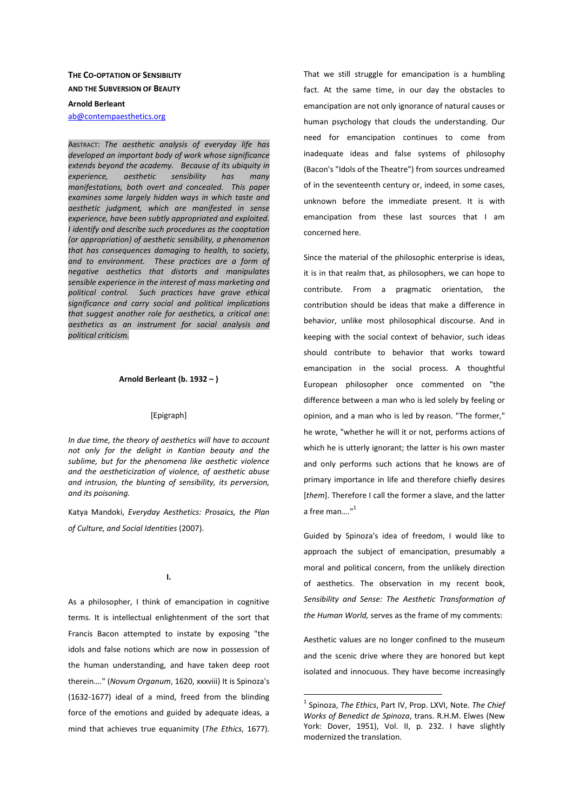# **THE CO-OPTATION OF SENSIBILITY AND THE SUBVERSION OF BEAUTY**

#### **Arnold Berleant**

ab@contempaesthetics.org

ABSTRACT: *The aesthetic analysis of everyday life has developed an important body of work whose significance extends beyond the academy. Because of its ubiquity in experience, aesthetic sensibility has many manifestations, both overt and concealed. This paper examines some largely hidden ways in which taste and aesthetic judgment, which are manifested in sense experience, have been subtly appropriated and exploited. I identify and describe such procedures as the cooptation (or appropriation) of aesthetic sensibility, a phenomenon that has consequences damaging to health, to society, and to environment. These practices are a form of negative aesthetics that distorts and manipulates sensible experience in the interest of mass marketing and political control. Such practices have grave ethical significance and carry social and political implications that suggest another role for aesthetics, a critical one: aesthetics as an instrument for social analysis and political criticism.* 

## **Arnold Berleant (b. 1932 – )**

#### [Epigraph]

*In due time, the theory of aesthetics will have to account not only for the delight in Kantian beauty and the sublime, but for the phenomena like aesthetic violence and the aestheticization of violence, of aesthetic abuse and intrusion, the blunting of sensibility, its perversion, and its poisoning.*

Katya Mandoki, *Everyday Aesthetics: Prosaics, the Plan of Culture, and Social Identities* (2007).

**I.** 

As a philosopher, I think of emancipation in cognitive terms. It is intellectual enlightenment of the sort that Francis Bacon attempted to instate by exposing "the idols and false notions which are now in possession of the human understanding, and have taken deep root therein…." (*Novum Organum*, 1620, xxxviii) It is Spinoza's (1632-1677) ideal of a mind, freed from the blinding force of the emotions and guided by adequate ideas, a mind that achieves true equanimity (*The Ethics*, 1677).

That we still struggle for emancipation is a humbling fact. At the same time, in our day the obstacles to emancipation are not only ignorance of natural causes or human psychology that clouds the understanding. Our need for emancipation continues to come from inadequate ideas and false systems of philosophy (Bacon's "Idols of the Theatre") from sources undreamed of in the seventeenth century or, indeed, in some cases, unknown before the immediate present. It is with emancipation from these last sources that I am concerned here.

Since the material of the philosophic enterprise is ideas, it is in that realm that, as philosophers, we can hope to contribute. From a pragmatic orientation, the contribution should be ideas that make a difference in behavior, unlike most philosophical discourse. And in keeping with the social context of behavior, such ideas should contribute to behavior that works toward emancipation in the social process. A thoughtful European philosopher once commented on "the difference between a man who is led solely by feeling or opinion, and a man who is led by reason. "The former," he wrote, "whether he will it or not, performs actions of which he is utterly ignorant; the latter is his own master and only performs such actions that he knows are of primary importance in life and therefore chiefly desires [*them*]. Therefore I call the former a slave, and the latter a free man...."<sup>1</sup>

Guided by Spinoza's idea of freedom, I would like to approach the subject of emancipation, presumably a moral and political concern, from the unlikely direction of aesthetics. The observation in my recent book, *Sensibility and Sense: The Aesthetic Transformation of the Human World,* serves as the frame of my comments:

Aesthetic values are no longer confined to the museum and the scenic drive where they are honored but kept isolated and innocuous. They have become increasingly

 1 Spinoza, *The Ethics*, Part IV, Prop. LXVI, Note. *The Chief Works of Benedict de Spinoza*, trans. R.H.M. Elwes (New York: Dover, 1951), Vol. II, p. 232. I have slightly modernized the translation.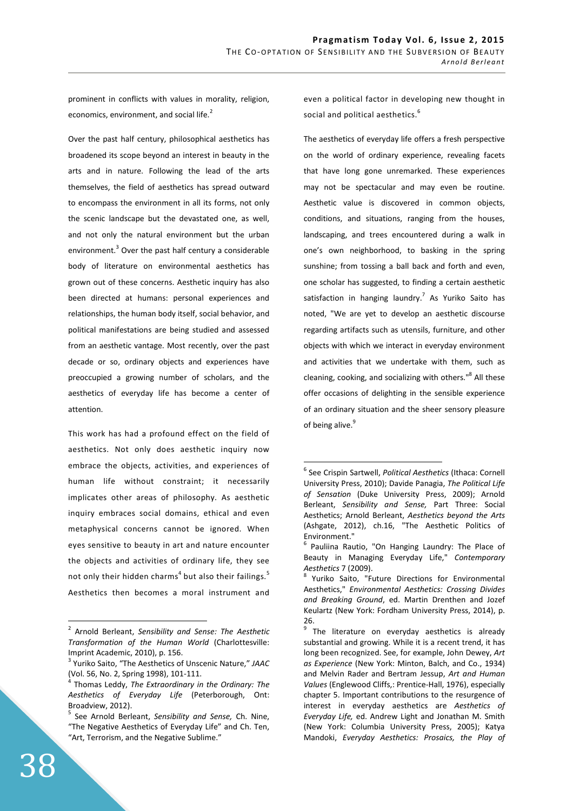prominent in conflicts with values in morality, religion, economics, environment, and social life. $2$ 

Over the past half century, philosophical aesthetics has broadened its scope beyond an interest in beauty in the arts and in nature. Following the lead of the arts themselves, the field of aesthetics has spread outward to encompass the environment in all its forms, not only the scenic landscape but the devastated one, as well, and not only the natural environment but the urban environment. $3$  Over the past half century a considerable body of literature on environmental aesthetics has grown out of these concerns. Aesthetic inquiry has also been directed at humans: personal experiences and relationships, the human body itself, social behavior, and political manifestations are being studied and assessed from an aesthetic vantage. Most recently, over the past decade or so, ordinary objects and experiences have preoccupied a growing number of scholars, and the aesthetics of everyday life has become a center of attention.

This work has had a profound effect on the field of aesthetics. Not only does aesthetic inquiry now embrace the objects, activities, and experiences of human life without constraint; it necessarily implicates other areas of philosophy. As aesthetic inquiry embraces social domains, ethical and even metaphysical concerns cannot be ignored. When eyes sensitive to beauty in art and nature encounter the objects and activities of ordinary life, they see not only their hidden charms<sup>4</sup> but also their failings.<sup>5</sup> Aesthetics then becomes a moral instrument and

even a political factor in developing new thought in social and political aesthetics.<sup>6</sup>

The aesthetics of everyday life offers a fresh perspective on the world of ordinary experience, revealing facets that have long gone unremarked. These experiences may not be spectacular and may even be routine. Aesthetic value is discovered in common objects, conditions, and situations, ranging from the houses, landscaping, and trees encountered during a walk in one's own neighborhood, to basking in the spring sunshine; from tossing a ball back and forth and even, one scholar has suggested, to finding a certain aesthetic satisfaction in hanging laundry.<sup>7</sup> As Yuriko Saito has noted, "We are yet to develop an aesthetic discourse regarding artifacts such as utensils, furniture, and other objects with which we interact in everyday environment and activities that we undertake with them, such as cleaning, cooking, and socializing with others."<sup>8</sup> All these offer occasions of delighting in the sensible experience of an ordinary situation and the sheer sensory pleasure of being alive.<sup>9</sup>

 $\overline{a}$ 

<sup>2</sup> Arnold Berleant, *Sensibility and Sense: The Aesthetic Transformation of the Human World* (Charlottesville: Imprint Academic, 2010), p. 156.

<sup>3</sup> Yuriko Saito, "The Aesthetics of Unscenic Nature," *JAAC*  (Vol. 56, No. 2, Spring 1998), 101-111.

<sup>4</sup> Thomas Leddy, *The Extraordinary in the Ordinary: The Aesthetics of Everyday Life* (Peterborough, Ont: Broadview, 2012).

<sup>5</sup> See Arnold Berleant, *Sensibility and Sense,* Ch. Nine, "The Negative Aesthetics of Everyday Life" and Ch. Ten, "Art, Terrorism, and the Negative Sublime."

<sup>6</sup> See Crispin Sartwell, *Political Aesthetics* (Ithaca: Cornell University Press, 2010); Davide Panagia, *The Political Life of Sensation* (Duke University Press, 2009); Arnold Berleant, *Sensibility and Sense,* Part Three: Social Aesthetics; Arnold Berleant, *Aesthetics beyond the Arts* (Ashgate, 2012), ch.16, "The Aesthetic Politics of Environment."

<sup>6</sup> Pauliina Rautio, "On Hanging Laundry: The Place of Beauty in Managing Everyday Life," *Contemporary Aesthetics* 7 (2009).

<sup>8</sup> Yuriko Saito, "Future Directions for Environmental Aesthetics," *Environmental Aesthetics: Crossing Divides and Breaking Ground*, ed. Martin Drenthen and Jozef Keulartz (New York: Fordham University Press, 2014), p. 26.

<sup>&</sup>lt;sup>9</sup> The literature on everyday aesthetics is already substantial and growing. While it is a recent trend, it has long been recognized. See, for example, John Dewey, *Art as Experience* (New York: Minton, Balch, and Co., 1934) and Melvin Rader and Bertram Jessup, *Art and Human Values* (Englewood Cliffs,: Prentice-Hall, 1976), especially chapter 5. Important contributions to the resurgence of interest in everyday aesthetics are *Aesthetics of Everyday Life,* ed. Andrew Light and Jonathan M. Smith (New York: Columbia University Press, 2005); Katya Mandoki, *Everyday Aesthetics: Prosaics, the Play of*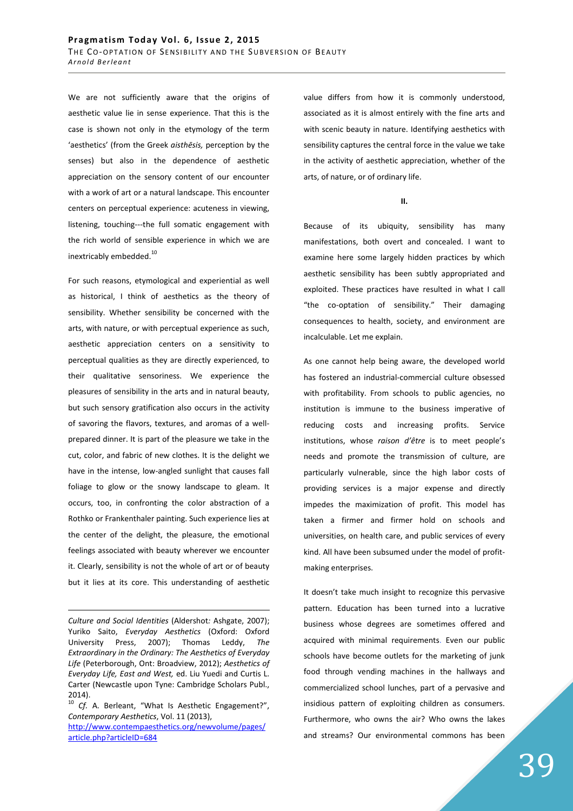We are not sufficiently aware that the origins of aesthetic value lie in sense experience. That this is the case is shown not only in the etymology of the term 'aesthetics' (from the Greek *aisthēsis,* perception by the senses) but also in the dependence of aesthetic appreciation on the sensory content of our encounter with a work of art or a natural landscape. This encounter centers on perceptual experience: acuteness in viewing, listening, touching---the full somatic engagement with the rich world of sensible experience in which we are inextricably embedded.<sup>10</sup>

For such reasons, etymological and experiential as well as historical, I think of aesthetics as the theory of sensibility. Whether sensibility be concerned with the arts, with nature, or with perceptual experience as such, aesthetic appreciation centers on a sensitivity to perceptual qualities as they are directly experienced, to their qualitative sensoriness. We experience the pleasures of sensibility in the arts and in natural beauty, but such sensory gratification also occurs in the activity of savoring the flavors, textures, and aromas of a wellprepared dinner. It is part of the pleasure we take in the cut, color, and fabric of new clothes. It is the delight we have in the intense, low-angled sunlight that causes fall foliage to glow or the snowy landscape to gleam. It occurs, too, in confronting the color abstraction of a Rothko or Frankenthaler painting. Such experience lies at the center of the delight, the pleasure, the emotional feelings associated with beauty wherever we encounter it. Clearly, sensibility is not the whole of art or of beauty but it lies at its core. This understanding of aesthetic

<u>.</u>

<sup>10</sup> *Cf.* A. Berleant, "What Is Aesthetic Engagement?", *Contemporary Aesthetics*, Vol. 11 (2013), http://www.contempaesthetics.org/newvolume/pages/ article.php?articleID=684

value differs from how it is commonly understood, associated as it is almost entirely with the fine arts and with scenic beauty in nature. Identifying aesthetics with sensibility captures the central force in the value we take in the activity of aesthetic appreciation, whether of the arts, of nature, or of ordinary life.

### **II.**

Because of its ubiquity, sensibility has many manifestations, both overt and concealed. I want to examine here some largely hidden practices by which aesthetic sensibility has been subtly appropriated and exploited. These practices have resulted in what I call "the co-optation of sensibility." Their damaging consequences to health, society, and environment are incalculable. Let me explain.

As one cannot help being aware, the developed world has fostered an industrial-commercial culture obsessed with profitability. From schools to public agencies, no institution is immune to the business imperative of reducing costs and increasing profits. Service institutions, whose *raison d'être* is to meet people's needs and promote the transmission of culture, are particularly vulnerable, since the high labor costs of providing services is a major expense and directly impedes the maximization of profit. This model has taken a firmer and firmer hold on schools and universities, on health care, and public services of every kind. All have been subsumed under the model of profitmaking enterprises.

It doesn't take much insight to recognize this pervasive pattern. Education has been turned into a lucrative business whose degrees are sometimes offered and acquired with minimal requirements. Even our public schools have become outlets for the marketing of junk food through vending machines in the hallways and commercialized school lunches, part of a pervasive and insidious pattern of exploiting children as consumers. Furthermore, who owns the air? Who owns the lakes and streams? Our environmental commons has been

*Culture and Social Identities* (Aldershot*:* Ashgate, 2007); Yuriko Saito, *Everyday Aesthetics* (Oxford: Oxford University Press, 2007); Thomas Leddy, *The Extraordinary in the Ordinary: The Aesthetics of Everyday Life* (Peterborough, Ont: Broadview, 2012); *Aesthetics of Everyday Life, East and West,* ed. Liu Yuedi and Curtis L. Carter (Newcastle upon Tyne: Cambridge Scholars Publ., 2014).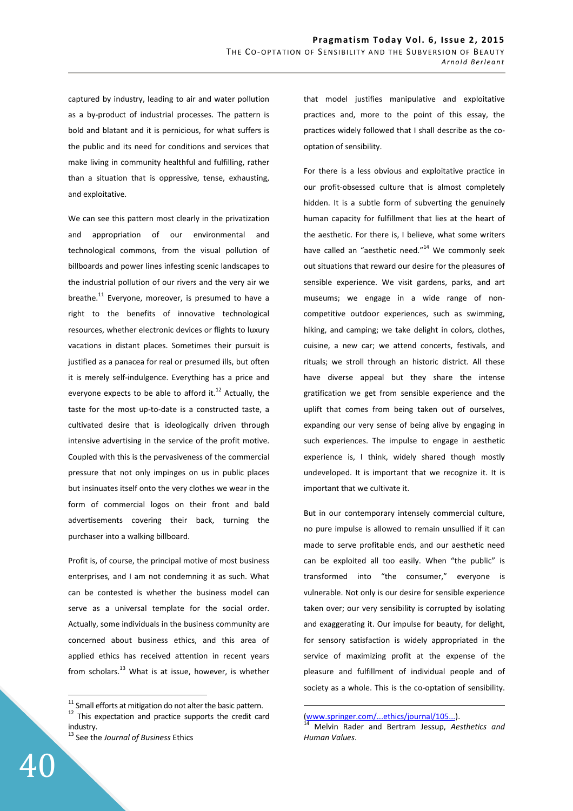captured by industry, leading to air and water pollution as a by-product of industrial processes. The pattern is bold and blatant and it is pernicious, for what suffers is the public and its need for conditions and services that make living in community healthful and fulfilling, rather than a situation that is oppressive, tense, exhausting, and exploitative.

We can see this pattern most clearly in the privatization and appropriation of our environmental and technological commons, from the visual pollution of billboards and power lines infesting scenic landscapes to the industrial pollution of our rivers and the very air we breathe.<sup>11</sup> Everyone, moreover, is presumed to have a right to the benefits of innovative technological resources, whether electronic devices or flights to luxury vacations in distant places. Sometimes their pursuit is justified as a panacea for real or presumed ills, but often it is merely self-indulgence. Everything has a price and everyone expects to be able to afford it. $^{12}$  Actually, the taste for the most up-to-date is a constructed taste, a cultivated desire that is ideologically driven through intensive advertising in the service of the profit motive. Coupled with this is the pervasiveness of the commercial pressure that not only impinges on us in public places but insinuates itself onto the very clothes we wear in the form of commercial logos on their front and bald advertisements covering their back, turning the purchaser into a walking billboard.

Profit is, of course, the principal motive of most business enterprises, and I am not condemning it as such. What can be contested is whether the business model can serve as a universal template for the social order. Actually, some individuals in the business community are concerned about business ethics, and this area of applied ethics has received attention in recent years from scholars. $^{13}$  What is at issue, however, is whether that model justifies manipulative and exploitative practices and, more to the point of this essay, the practices widely followed that I shall describe as the cooptation of sensibility.

For there is a less obvious and exploitative practice in our profit-obsessed culture that is almost completely hidden. It is a subtle form of subverting the genuinely human capacity for fulfillment that lies at the heart of the aesthetic. For there is, I believe, what some writers have called an "aesthetic need."<sup>14</sup> We commonly seek out situations that reward our desire for the pleasures of sensible experience. We visit gardens, parks, and art museums; we engage in a wide range of noncompetitive outdoor experiences, such as swimming, hiking, and camping; we take delight in colors, clothes, cuisine, a new car; we attend concerts, festivals, and rituals; we stroll through an historic district. All these have diverse appeal but they share the intense gratification we get from sensible experience and the uplift that comes from being taken out of ourselves, expanding our very sense of being alive by engaging in such experiences. The impulse to engage in aesthetic experience is, I think, widely shared though mostly undeveloped. It is important that we recognize it. It is important that we cultivate it.

But in our contemporary intensely commercial culture, no pure impulse is allowed to remain unsullied if it can made to serve profitable ends, and our aesthetic need can be exploited all too easily. When "the public" is transformed into "the consumer," everyone is vulnerable. Not only is our desire for sensible experience taken over; our very sensibility is corrupted by isolating and exaggerating it. Our impulse for beauty, for delight, for sensory satisfaction is widely appropriated in the service of maximizing profit at the expense of the pleasure and fulfillment of individual people and of society as a whole. This is the co-optation of sensibility.

 $\overline{a}$ 

 $11$  Small efforts at mitigation do not alter the basic pattern.

 $12$  This expectation and practice supports the credit card industry.

<sup>13</sup> See the *Journal of Business* Ethics

<sup>(</sup>www.springer.com/...ethics/journal/105...).

<sup>14</sup> Melvin Rader and Bertram Jessup, *Aesthetics and Human Values*.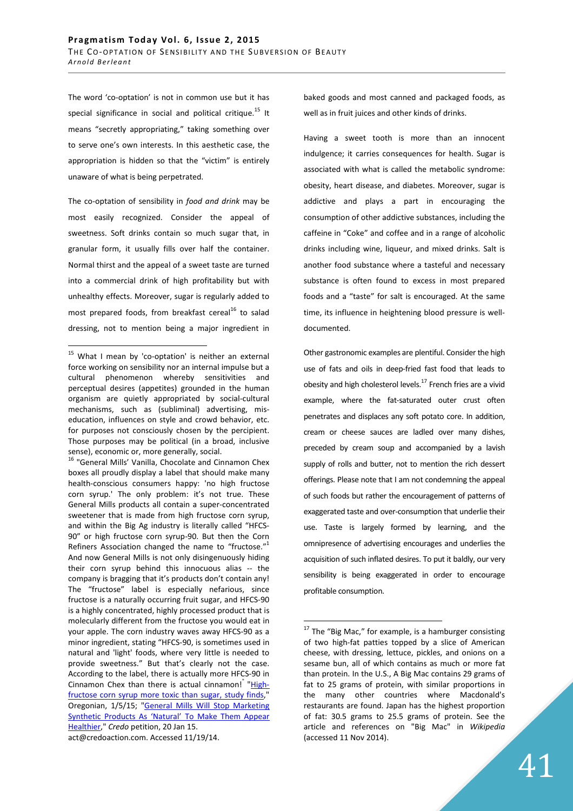The word 'co-optation' is not in common use but it has special significance in social and political critique.<sup>15</sup> It means "secretly appropriating," taking something over to serve one's own interests. In this aesthetic case, the appropriation is hidden so that the "victim" is entirely unaware of what is being perpetrated.

The co-optation of sensibility in *food and drink* may be most easily recognized. Consider the appeal of sweetness. Soft drinks contain so much sugar that, in granular form, it usually fills over half the container. Normal thirst and the appeal of a sweet taste are turned into a commercial drink of high profitability but with unhealthy effects. Moreover, sugar is regularly added to most prepared foods, from breakfast cereal<sup>16</sup> to salad dressing, not to mention being a major ingredient in

<sup>16</sup> "General Mills' Vanilla, Chocolate and Cinnamon Chex boxes all proudly display a label that should make many health-conscious consumers happy: 'no high fructose corn syrup.' The only problem: it's not true. These General Mills products all contain a super-concentrated sweetener that is made from high fructose corn syrup, and within the Big Ag industry is literally called "HFCS-90" or high fructose corn syrup-90. But then the Corn Refiners Association changed the name to "fructose."<sup>1</sup> And now General Mills is not only disingenuously hiding their corn syrup behind this innocuous alias -- the company is bragging that it's products don't contain any! The "fructose" label is especially nefarious, since fructose is a naturally occurring fruit sugar, and HFCS-90 is a highly concentrated, highly processed product that is molecularly different from the fructose you would eat in your apple. The corn industry waves away HFCS-90 as a minor ingredient, stating "HFCS-90, is sometimes used in natural and 'light' foods, where very little is needed to provide sweetness." But that's clearly not the case. According to the label, there is actually more HFCS-90 in Cinnamon Chex than there is actual cinnamon! "Highfructose corn syrup more toxic than sugar, study finds," Oregonian, 1/5/15; "General Mills Will Stop Marketing Synthetic Products As 'Natural' To Make Them Appear Healthier," *Credo* petition, 20 Jan 15. act@credoaction.com. Accessed 11/19/14.

baked goods and most canned and packaged foods, as well as in fruit juices and other kinds of drinks.

Having a sweet tooth is more than an innocent indulgence; it carries consequences for health. Sugar is associated with what is called the metabolic syndrome: obesity, heart disease, and diabetes. Moreover, sugar is addictive and plays a part in encouraging the consumption of other addictive substances, including the caffeine in "Coke" and coffee and in a range of alcoholic drinks including wine, liqueur, and mixed drinks. Salt is another food substance where a tasteful and necessary substance is often found to excess in most prepared foods and a "taste" for salt is encouraged. At the same time, its influence in heightening blood pressure is welldocumented.

Other gastronomic examples are plentiful. Consider the high use of fats and oils in deep-fried fast food that leads to obesity and high cholesterol levels. $^{17}$  French fries are a vivid example, where the fat-saturated outer crust often penetrates and displaces any soft potato core. In addition, cream or cheese sauces are ladled over many dishes, preceded by cream soup and accompanied by a lavish supply of rolls and butter, not to mention the rich dessert offerings. Please note that I am not condemning the appeal of such foods but rather the encouragement of patterns of exaggerated taste and over-consumption that underlie their use. Taste is largely formed by learning, and the omnipresence of advertising encourages and underlies the acquisition of such inflated desires. To put it baldly, our very sensibility is being exaggerated in order to encourage profitable consumption.

 $\overline{a}$  $15$  What I mean by 'co-optation' is neither an external force working on sensibility nor an internal impulse but a cultural phenomenon whereby sensitivities and perceptual desires (appetites) grounded in the human organism are quietly appropriated by social-cultural mechanisms, such as (subliminal) advertising, miseducation, influences on style and crowd behavior, etc. for purposes not consciously chosen by the percipient. Those purposes may be political (in a broad, inclusive sense), economic or, more generally, social.

 $17$  The "Big Mac," for example, is a hamburger consisting of two high-fat patties topped by a slice of American cheese, with dressing, lettuce, pickles, and onions on a sesame bun, all of which contains as much or more fat than protein. In the U.S., A Big Mac contains 29 grams of fat to 25 grams of protein, with similar proportions in the many other countries where Macdonald's restaurants are found. Japan has the highest proportion of fat: 30.5 grams to 25.5 grams of protein. See the article and references on "Big Mac" in *Wikipedia*  (accessed 11 Nov 2014).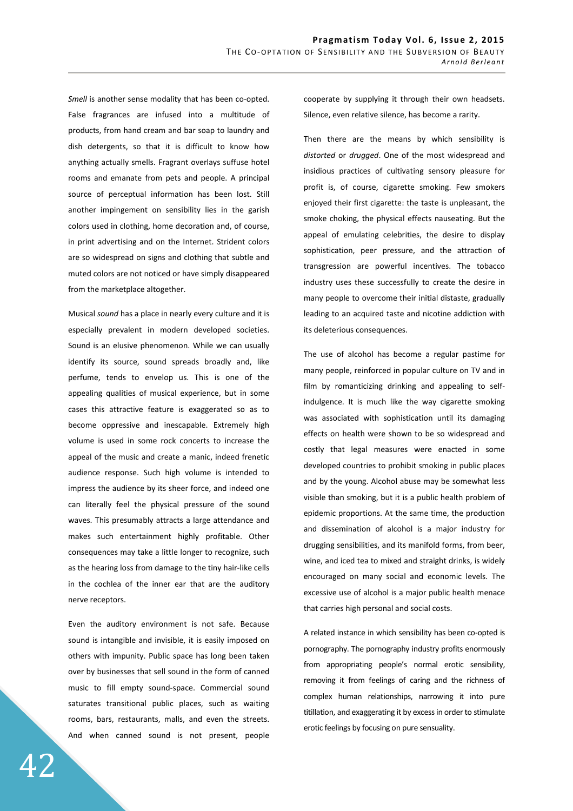Smell is another sense modality that has been co-opted. False fragrances are infused into a multitude of products, from hand cream and bar soap to laundry and dish detergents, so that it is difficult to know how anything actually smells. Fragrant overlays suffuse hotel rooms and emanate from pets and people. A principal source of perceptual information has been lost. Still another impingement on sensibility lies in the garish colors used in clothing, home decoration and, of course, in print advertising and on the Internet. Strident colors are so widespread on signs and clothing that subtle and muted colors are not noticed or have simply disappeared from the marketplace altogether.

Musical *sound* has a place in nearly every culture and it is especially prevalent in modern developed societies. Sound is an elusive phenomenon. While we can usually identify its source, sound spreads broadly and, like perfume, tends to envelop us. This is one of the appealing qualities of musical experience, but in some cases this attractive feature is exaggerated so as to become oppressive and inescapable. Extremely high volume is used in some rock concerts to increase the appeal of the music and create a manic, indeed frenetic audience response. Such high volume is intended to impress the audience by its sheer force, and indeed one can literally feel the physical pressure of the sound waves. This presumably attracts a large attendance and makes such entertainment highly profitable. Other consequences may take a little longer to recognize, such as the hearing loss from damage to the tiny hair-like cells in the cochlea of the inner ear that are the auditory nerve receptors.

Even the auditory environment is not safe. Because sound is intangible and invisible, it is easily imposed on others with impunity. Public space has long been taken over by businesses that sell sound in the form of canned music to fill empty sound-space. Commercial sound saturates transitional public places, such as waiting rooms, bars, restaurants, malls, and even the streets. And when canned sound is not present, people

cooperate by supplying it through their own headsets. Silence, even relative silence, has become a rarity.

Then there are the means by which sensibility is *distorted* or *drugged*. One of the most widespread and insidious practices of cultivating sensory pleasure for profit is, of course, cigarette smoking. Few smokers enjoyed their first cigarette: the taste is unpleasant, the smoke choking, the physical effects nauseating. But the appeal of emulating celebrities, the desire to display sophistication, peer pressure, and the attraction of transgression are powerful incentives. The tobacco industry uses these successfully to create the desire in many people to overcome their initial distaste, gradually leading to an acquired taste and nicotine addiction with its deleterious consequences.

The use of alcohol has become a regular pastime for many people, reinforced in popular culture on TV and in film by romanticizing drinking and appealing to selfindulgence. It is much like the way cigarette smoking was associated with sophistication until its damaging effects on health were shown to be so widespread and costly that legal measures were enacted in some developed countries to prohibit smoking in public places and by the young. Alcohol abuse may be somewhat less visible than smoking, but it is a public health problem of epidemic proportions. At the same time, the production and dissemination of alcohol is a major industry for drugging sensibilities, and its manifold forms, from beer, wine, and iced tea to mixed and straight drinks, is widely encouraged on many social and economic levels. The excessive use of alcohol is a major public health menace that carries high personal and social costs.

A related instance in which sensibility has been co-opted is pornography. The pornography industry profits enormously from appropriating people's normal erotic sensibility, removing it from feelings of caring and the richness of complex human relationships, narrowing it into pure titillation, and exaggerating it by excess in order to stimulate erotic feelings by focusing on pure sensuality.

42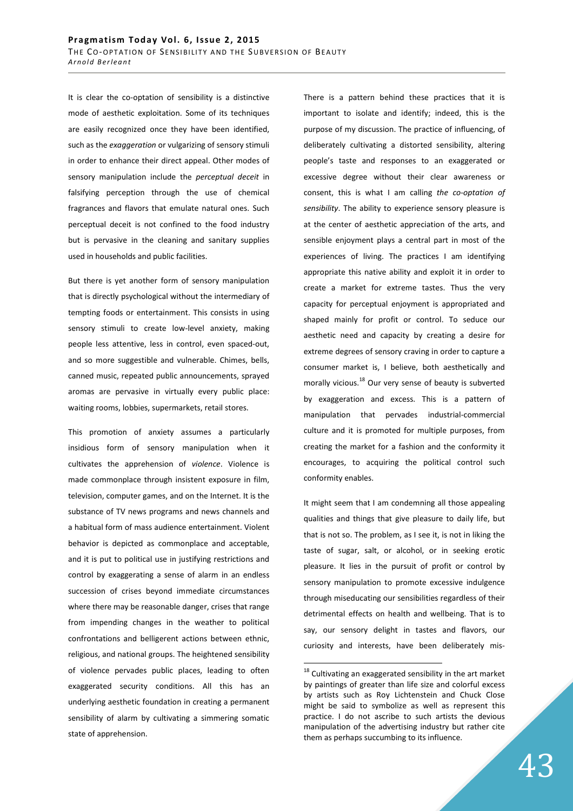It is clear the co-optation of sensibility is a distinctive mode of aesthetic exploitation. Some of its techniques are easily recognized once they have been identified, such as the *exaggeration* or vulgarizing of sensory stimuli in order to enhance their direct appeal. Other modes of sensory manipulation include the *perceptual deceit* in falsifying perception through the use of chemical fragrances and flavors that emulate natural ones. Such perceptual deceit is not confined to the food industry but is pervasive in the cleaning and sanitary supplies used in households and public facilities.

But there is yet another form of sensory manipulation that is directly psychological without the intermediary of tempting foods or entertainment. This consists in using sensory stimuli to create low-level anxiety, making people less attentive, less in control, even spaced-out, and so more suggestible and vulnerable. Chimes, bells, canned music, repeated public announcements, sprayed aromas are pervasive in virtually every public place: waiting rooms, lobbies, supermarkets, retail stores.

This promotion of anxiety assumes a particularly insidious form of sensory manipulation when it cultivates the apprehension of *violence*. Violence is made commonplace through insistent exposure in film, television, computer games, and on the Internet. It is the substance of TV news programs and news channels and a habitual form of mass audience entertainment. Violent behavior is depicted as commonplace and acceptable, and it is put to political use in justifying restrictions and control by exaggerating a sense of alarm in an endless succession of crises beyond immediate circumstances where there may be reasonable danger, crises that range from impending changes in the weather to political confrontations and belligerent actions between ethnic, religious, and national groups. The heightened sensibility of violence pervades public places, leading to often exaggerated security conditions. All this has an underlying aesthetic foundation in creating a permanent sensibility of alarm by cultivating a simmering somatic state of apprehension.

There is a pattern behind these practices that it is important to isolate and identify; indeed, this is the purpose of my discussion. The practice of influencing, of deliberately cultivating a distorted sensibility, altering people's taste and responses to an exaggerated or excessive degree without their clear awareness or consent, this is what I am calling *the co-optation of sensibility*. The ability to experience sensory pleasure is at the center of aesthetic appreciation of the arts, and sensible enjoyment plays a central part in most of the experiences of living. The practices I am identifying appropriate this native ability and exploit it in order to create a market for extreme tastes. Thus the very capacity for perceptual enjoyment is appropriated and shaped mainly for profit or control. To seduce our aesthetic need and capacity by creating a desire for extreme degrees of sensory craving in order to capture a consumer market is, I believe, both aesthetically and morally vicious.<sup>18</sup> Our very sense of beauty is subverted by exaggeration and excess. This is a pattern of manipulation that pervades industrial-commercial culture and it is promoted for multiple purposes, from creating the market for a fashion and the conformity it encourages, to acquiring the political control such conformity enables.

It might seem that I am condemning all those appealing qualities and things that give pleasure to daily life, but that is not so. The problem, as I see it, is not in liking the taste of sugar, salt, or alcohol, or in seeking erotic pleasure. It lies in the pursuit of profit or control by sensory manipulation to promote excessive indulgence through miseducating our sensibilities regardless of their detrimental effects on health and wellbeing. That is to say, our sensory delight in tastes and flavors, our curiosity and interests, have been deliberately mis-

 $18$  Cultivating an exaggerated sensibility in the art market by paintings of greater than life size and colorful excess by artists such as Roy Lichtenstein and Chuck Close might be said to symbolize as well as represent this practice. I do not ascribe to such artists the devious manipulation of the advertising industry but rather cite them as perhaps succumbing to its influence.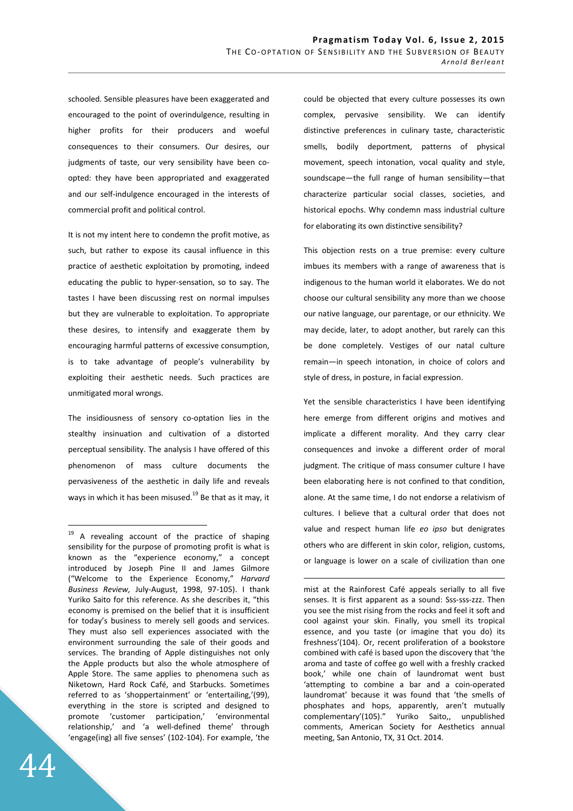schooled. Sensible pleasures have been exaggerated and encouraged to the point of overindulgence, resulting in higher profits for their producers and woeful consequences to their consumers. Our desires, our judgments of taste, our very sensibility have been coopted: they have been appropriated and exaggerated and our self-indulgence encouraged in the interests of commercial profit and political control.

It is not my intent here to condemn the profit motive, as such, but rather to expose its causal influence in this practice of aesthetic exploitation by promoting, indeed educating the public to hyper-sensation, so to say. The tastes I have been discussing rest on normal impulses but they are vulnerable to exploitation. To appropriate these desires, to intensify and exaggerate them by encouraging harmful patterns of excessive consumption, is to take advantage of people's vulnerability by exploiting their aesthetic needs. Such practices are unmitigated moral wrongs.

The insidiousness of sensory co-optation lies in the stealthy insinuation and cultivation of a distorted perceptual sensibility. The analysis I have offered of this phenomenon of mass culture documents the pervasiveness of the aesthetic in daily life and reveals ways in which it has been misused.<sup>19</sup> Be that as it may, it

could be objected that every culture possesses its own complex, pervasive sensibility. We can identify distinctive preferences in culinary taste, characteristic smells, bodily deportment, patterns of physical movement, speech intonation, vocal quality and style, soundscape—the full range of human sensibility—that characterize particular social classes, societies, and historical epochs. Why condemn mass industrial culture for elaborating its own distinctive sensibility?

This objection rests on a true premise: every culture imbues its members with a range of awareness that is indigenous to the human world it elaborates. We do not choose our cultural sensibility any more than we choose our native language, our parentage, or our ethnicity. We may decide, later, to adopt another, but rarely can this be done completely. Vestiges of our natal culture remain—in speech intonation, in choice of colors and style of dress, in posture, in facial expression.

Yet the sensible characteristics I have been identifying here emerge from different origins and motives and implicate a different morality. And they carry clear consequences and invoke a different order of moral judgment. The critique of mass consumer culture I have been elaborating here is not confined to that condition, alone. At the same time, I do not endorse a relativism of cultures. I believe that a cultural order that does not value and respect human life *eo ipso* but denigrates others who are different in skin color, religion, customs, or language is lower on a scale of civilization than one

 $\overline{a}$ 

<sup>&</sup>lt;sup>19</sup> A revealing account of the practice of shaping sensibility for the purpose of promoting profit is what is known as the "experience economy," a concept introduced by Joseph Pine II and James Gilmore ("Welcome to the Experience Economy," *Harvard Business Review,* July-August, 1998, 97-105). I thank Yuriko Saito for this reference. As she describes it, "this economy is premised on the belief that it is insufficient for today's business to merely sell goods and services. They must also sell experiences associated with the environment surrounding the sale of their goods and services. The branding of Apple distinguishes not only the Apple products but also the whole atmosphere of Apple Store. The same applies to phenomena such as Niketown, Hard Rock Café, and Starbucks. Sometimes referred to as 'shoppertainment' or 'entertailing,'(99), everything in the store is scripted and designed to promote 'customer participation,' 'environmental relationship,' and 'a well-defined theme' through 'engage(ing) all five senses' (102-104). For example, 'the

mist at the Rainforest Café appeals serially to all five senses. It is first apparent as a sound: Sss-sss-zzz. Then you see the mist rising from the rocks and feel it soft and cool against your skin. Finally, you smell its tropical essence, and you taste (or imagine that you do) its freshness'(104). Or, recent proliferation of a bookstore combined with café is based upon the discovery that 'the aroma and taste of coffee go well with a freshly cracked book,' while one chain of laundromat went bust 'attempting to combine a bar and a coin-operated laundromat' because it was found that 'the smells of phosphates and hops, apparently, aren't mutually complementary'(105)." Yuriko Saito,, unpublished comments, American Society for Aesthetics annual meeting, San Antonio, TX, 31 Oct. 2014.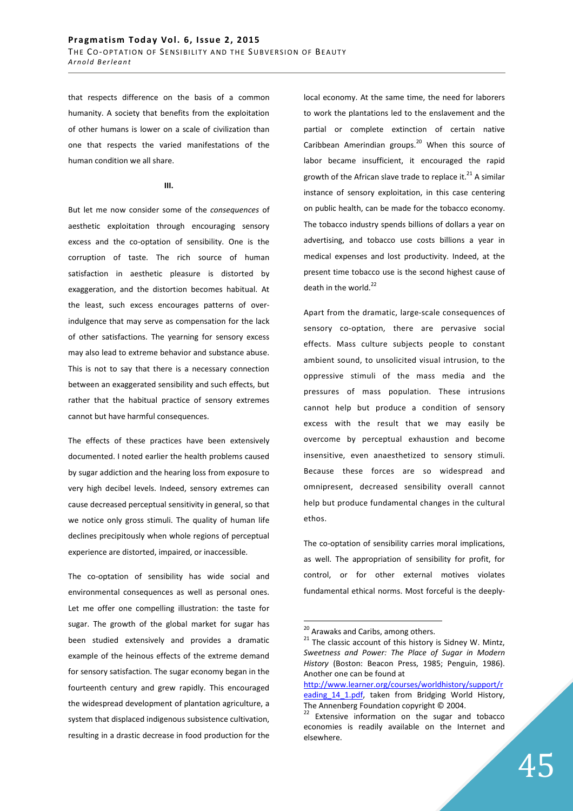that respects difference on the basis of a common humanity. A society that benefits from the exploitation of other humans is lower on a scale of civilization than one that respects the varied manifestations of the human condition we all share.

## **III.**

But let me now consider some of the *consequences* of aesthetic exploitation through encouraging sensory excess and the co-optation of sensibility. One is the corruption of taste. The rich source of human satisfaction in aesthetic pleasure is distorted by exaggeration, and the distortion becomes habitual. At the least, such excess encourages patterns of overindulgence that may serve as compensation for the lack of other satisfactions. The yearning for sensory excess may also lead to extreme behavior and substance abuse. This is not to say that there is a necessary connection between an exaggerated sensibility and such effects, but rather that the habitual practice of sensory extremes cannot but have harmful consequences.

The effects of these practices have been extensively documented. I noted earlier the health problems caused by sugar addiction and the hearing loss from exposure to very high decibel levels. Indeed, sensory extremes can cause decreased perceptual sensitivity in general, so that we notice only gross stimuli. The quality of human life declines precipitously when whole regions of perceptual experience are distorted, impaired, or inaccessible.

The co-optation of sensibility has wide social and environmental consequences as well as personal ones. Let me offer one compelling illustration: the taste for sugar. The growth of the global market for sugar has been studied extensively and provides a dramatic example of the heinous effects of the extreme demand for sensory satisfaction. The sugar economy began in the fourteenth century and grew rapidly. This encouraged the widespread development of plantation agriculture, a system that displaced indigenous subsistence cultivation, resulting in a drastic decrease in food production for the

local economy. At the same time, the need for laborers to work the plantations led to the enslavement and the partial or complete extinction of certain native Caribbean Amerindian groups.<sup>20</sup> When this source of labor became insufficient, it encouraged the rapid growth of the African slave trade to replace it. $^{21}$  A similar instance of sensory exploitation, in this case centering on public health, can be made for the tobacco economy. The tobacco industry spends billions of dollars a year on advertising, and tobacco use costs billions a year in medical expenses and lost productivity. Indeed, at the present time tobacco use is the second highest cause of death in the world. $^{22}$ 

Apart from the dramatic, large-scale consequences of sensory co-optation, there are pervasive social effects. Mass culture subjects people to constant ambient sound, to unsolicited visual intrusion, to the oppressive stimuli of the mass media and the pressures of mass population. These intrusions cannot help but produce a condition of sensory excess with the result that we may easily be overcome by perceptual exhaustion and become insensitive, even anaesthetized to sensory stimuli. Because these forces are so widespread and omnipresent, decreased sensibility overall cannot help but produce fundamental changes in the cultural ethos.

The co-optation of sensibility carries moral implications, as well. The appropriation of sensibility for profit, for control, or for other external motives violates fundamental ethical norms. Most forceful is the deeply-

<sup>&</sup>lt;sup>20</sup> Arawaks and Caribs, among others.

 $21$  The classic account of this history is Sidney W. Mintz, *Sweetness and Power: The Place of Sugar in Modern History* (Boston: Beacon Press, 1985; Penguin, 1986). Another one can be found at

http://www.learner.org/courses/worldhistory/support/r eading 14 1.pdf, taken from Bridging World History, The Annenberg Foundation copyright © 2004.

<sup>&</sup>lt;sup>22</sup> Extensive information on the sugar and tobacco economies is readily available on the Internet and elsewhere.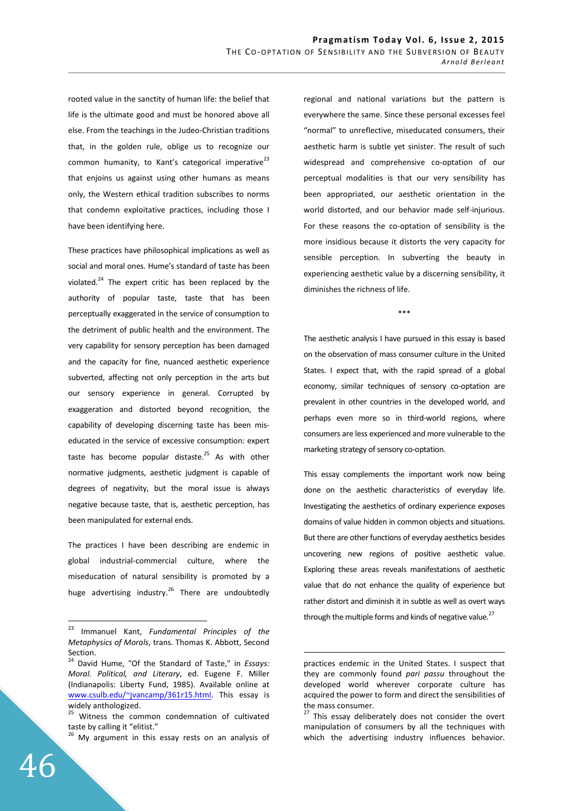rooted value in the sanctity of human life: the belief that life is the ultimate good and must be honored above all else. From the teachings in the Judeo-Christian traditions that, in the golden rule, oblige us to recognize our common humanity, to Kant's categorical imperative $^{23}$ that enjoins us against using other humans as means only, the Western ethical tradition subscribes to norms that condemn exploitative practices, including those I have been identifying here.

These practices have philosophical implications as well as social and moral ones. Hume's standard of taste has been violated. $^{24}$  The expert critic has been replaced by the authority of popular taste, taste that has been perceptually exaggerated in the service of consumption to the detriment of public health and the environment. The very capability for sensory perception has been damaged and the capacity for fine, nuanced aesthetic experience subverted, affecting not only perception in the arts but our sensory experience in general. Corrupted by exaggeration and distorted beyond recognition, the capability of developing discerning taste has been miseducated in the service of excessive consumption: expert taste has become popular distaste.<sup>25</sup> As with other normative judgments, aesthetic judgment is capable of degrees of negativity, but the moral issue is always negative because taste, that is, aesthetic perception, has been manipulated for external ends.

The practices I have been describing are endemic in global industrial-commercial culture, where the miseducation of natural sensibility is promoted by a huge advertising industry.<sup>26</sup> There are undoubtedly regional and national variations but the pattern is everywhere the same. Since these personal excesses feel "normal" to unreflective, miseducated consumers, their aesthetic harm is subtle yet sinister. The result of such widespread and comprehensive co-optation of our perceptual modalities is that our very sensibility has been appropriated, our aesthetic orientation in the world distorted, and our behavior made self-injurious. For these reasons the co-optation of sensibility is the more insidious because it distorts the very capacity for sensible perception. In subverting the beauty in experiencing aesthetic value by a discerning sensibility, it diminishes the richness of life.

\*\*\*

The aesthetic analysis I have pursued in this essay is based on the observation of mass consumer culture in the United States. I expect that, with the rapid spread of a global economy, similar techniques of sensory co-optation are prevalent in other countries in the developed world, and perhaps even more so in third-world regions, where consumers are less experienced and more vulnerable to the marketing strategy of sensory co-optation.

This essay complements the important work now being done on the aesthetic characteristics of everyday life. Investigating the aesthetics of ordinary experience exposes domains of value hidden in common objects and situations. But there are other functions of everyday aesthetics besides uncovering new regions of positive aesthetic value. Exploring these areas reveals manifestations of aesthetic value that do not enhance the quality of experience but rather distort and diminish it in subtle as well as overt ways through the multiple forms and kinds of negative value.<sup>27</sup>

<sup>23</sup> Immanuel Kant, *Fundamental Principles of the Metaphysics of Morals*, trans. Thomas K. Abbott, Second Section.<br><sup>24</sup> David

<sup>24</sup> David Hume, "Of the Standard of Taste," in *Essays: Moral. Political, and Literary*, ed. Eugene F. Miller (Indianapolis: Liberty Fund, 1985). Available online at www.csulb.edu/~jvancamp/361r15.html. This essay is widely anthologized.

<sup>&</sup>lt;sup>25</sup> Witness the common condemnation of cultivated taste by calling it "elitist."

<sup>&</sup>lt;sup>26</sup> My argument in this essay rests on an analysis of

practices endemic in the United States. I suspect that they are commonly found *pari passu* throughout the developed world wherever corporate culture has acquired the power to form and direct the sensibilities of the mass consumer.

<sup>&</sup>lt;sup>27</sup> This essay deliberately does not consider the overt manipulation of consumers by all the techniques with which the advertising industry influences behavior.